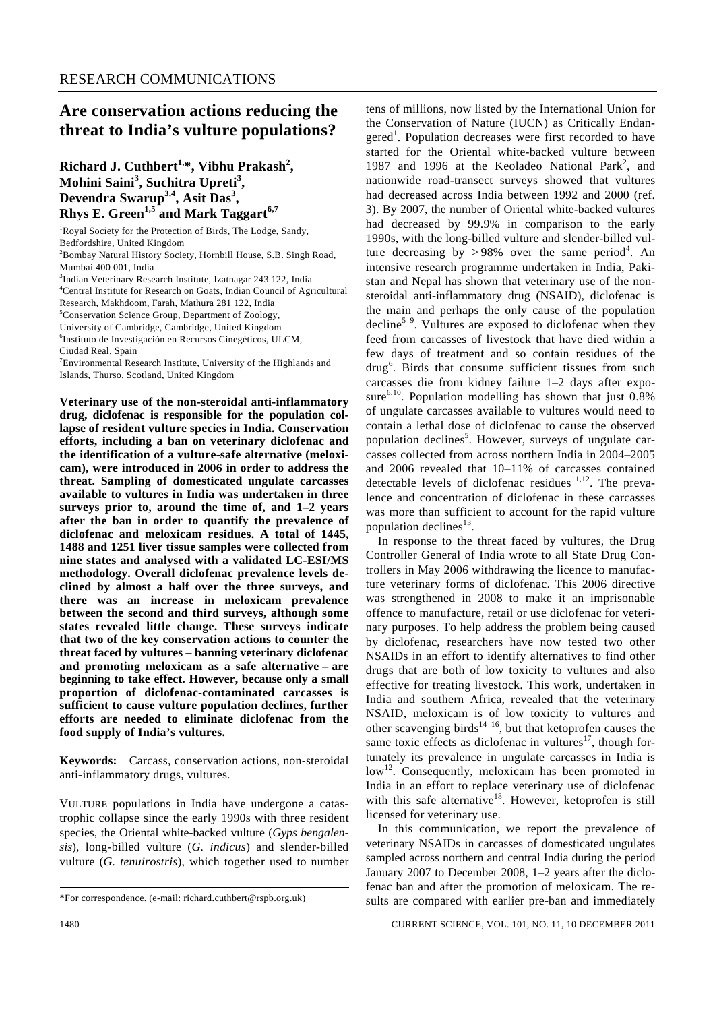## **Are conservation actions reducing the threat to India's vulture populations?**

Richard J. Cuthbert<sup>1,\*</sup>, Vibhu Prakash<sup>2</sup>, **Mohini Saini<sup>3</sup> , Suchitra Upreti<sup>3</sup> , Devendra Swarup3,4, Asit Das3 , Rhys E. Green<sup>1,5</sup> and Mark Taggart<sup>6,7</sup>** 

<sup>1</sup>Royal Society for the Protection of Birds, The Lodge, Sandy, Bedfordshire, United Kingdom 2 Bombay Natural History Society, Hornbill House, S.B. Singh Road, Mumbai 400 001, India 3 Indian Veterinary Research Institute, Izatnagar 243 122, India 4 Central Institute for Research on Goats, Indian Council of Agricultural Research, Makhdoom, Farah, Mathura 281 122, India 5 Conservation Science Group, Department of Zoology, University of Cambridge, Cambridge, United Kingdom 6 Instituto de Investigación en Recursos Cinegéticos, ULCM, Ciudad Real, Spain <sup>7</sup>Environmental Research Institute, University of the Highlands and Islands, Thurso, Scotland, United Kingdom

**Veterinary use of the non-steroidal anti-inflammatory drug, diclofenac is responsible for the population collapse of resident vulture species in India. Conservation efforts, including a ban on veterinary diclofenac and the identification of a vulture-safe alternative (meloxicam), were introduced in 2006 in order to address the threat. Sampling of domesticated ungulate carcasses available to vultures in India was undertaken in three surveys prior to, around the time of, and 1–2 years after the ban in order to quantify the prevalence of diclofenac and meloxicam residues. A total of 1445, 1488 and 1251 liver tissue samples were collected from nine states and analysed with a validated LC-ESI/MS methodology. Overall diclofenac prevalence levels declined by almost a half over the three surveys, and there was an increase in meloxicam prevalence between the second and third surveys, although some states revealed little change. These surveys indicate that two of the key conservation actions to counter the threat faced by vultures – banning veterinary diclofenac and promoting meloxicam as a safe alternative – are beginning to take effect. However, because only a small proportion of diclofenac-contaminated carcasses is sufficient to cause vulture population declines, further efforts are needed to eliminate diclofenac from the food supply of India's vultures.** 

**Keywords:** Carcass, conservation actions, non-steroidal anti-inflammatory drugs, vultures.

VULTURE populations in India have undergone a catastrophic collapse since the early 1990s with three resident species, the Oriental white-backed vulture (*Gyps bengalensis*), long-billed vulture (*G. indicus*) and slender-billed vulture (*G. tenuirostris*), which together used to number tens of millions, now listed by the International Union for the Conservation of Nature (IUCN) as Critically Endangered<sup>1</sup>. Population decreases were first recorded to have started for the Oriental white-backed vulture between 1987 and 1996 at the Keoladeo National Park<sup>2</sup>, and nationwide road-transect surveys showed that vultures had decreased across India between 1992 and 2000 (ref. 3). By 2007, the number of Oriental white-backed vultures had decreased by 99.9% in comparison to the early 1990s, with the long-billed vulture and slender-billed vulture decreasing by > 98% over the same period<sup>4</sup>. An intensive research programme undertaken in India, Pakistan and Nepal has shown that veterinary use of the nonsteroidal anti-inflammatory drug (NSAID), diclofenac is the main and perhaps the only cause of the population decline<sup>5–9</sup>. Vultures are exposed to diclofenac when they feed from carcasses of livestock that have died within a few days of treatment and so contain residues of the drug<sup>6</sup>. Birds that consume sufficient tissues from such carcasses die from kidney failure 1–2 days after exposure $6,10$ . Population modelling has shown that just 0.8% of ungulate carcasses available to vultures would need to contain a lethal dose of diclofenac to cause the observed population declines<sup>5</sup>. However, surveys of ungulate carcasses collected from across northern India in 2004–2005 and 2006 revealed that 10–11% of carcasses contained detectable levels of diclofenac residues $11,12$ . The prevalence and concentration of diclofenac in these carcasses was more than sufficient to account for the rapid vulture population declines $^{13}$ . In response to the threat faced by vultures, the Drug

Controller General of India wrote to all State Drug Controllers in May 2006 withdrawing the licence to manufacture veterinary forms of diclofenac. This 2006 directive was strengthened in 2008 to make it an imprisonable offence to manufacture, retail or use diclofenac for veterinary purposes. To help address the problem being caused by diclofenac, researchers have now tested two other NSAIDs in an effort to identify alternatives to find other drugs that are both of low toxicity to vultures and also effective for treating livestock. This work, undertaken in India and southern Africa, revealed that the veterinary NSAID, meloxicam is of low toxicity to vultures and other scavenging birds<sup>14–16</sup>, but that ketoprofen causes the same toxic effects as diclofenac in vultures<sup>17</sup>, though fortunately its prevalence in ungulate carcasses in India is  $low<sup>12</sup>$ . Consequently, meloxicam has been promoted in India in an effort to replace veterinary use of diclofenac with this safe alternative<sup>18</sup>. However, ketoprofen is still licensed for veterinary use.

 In this communication, we report the prevalence of veterinary NSAIDs in carcasses of domesticated ungulates sampled across northern and central India during the period January 2007 to December 2008, 1–2 years after the diclofenac ban and after the promotion of meloxicam. The results are compared with earlier pre-ban and immediately

<sup>\*</sup>For correspondence. (e-mail: richard.cuthbert@rspb.org.uk)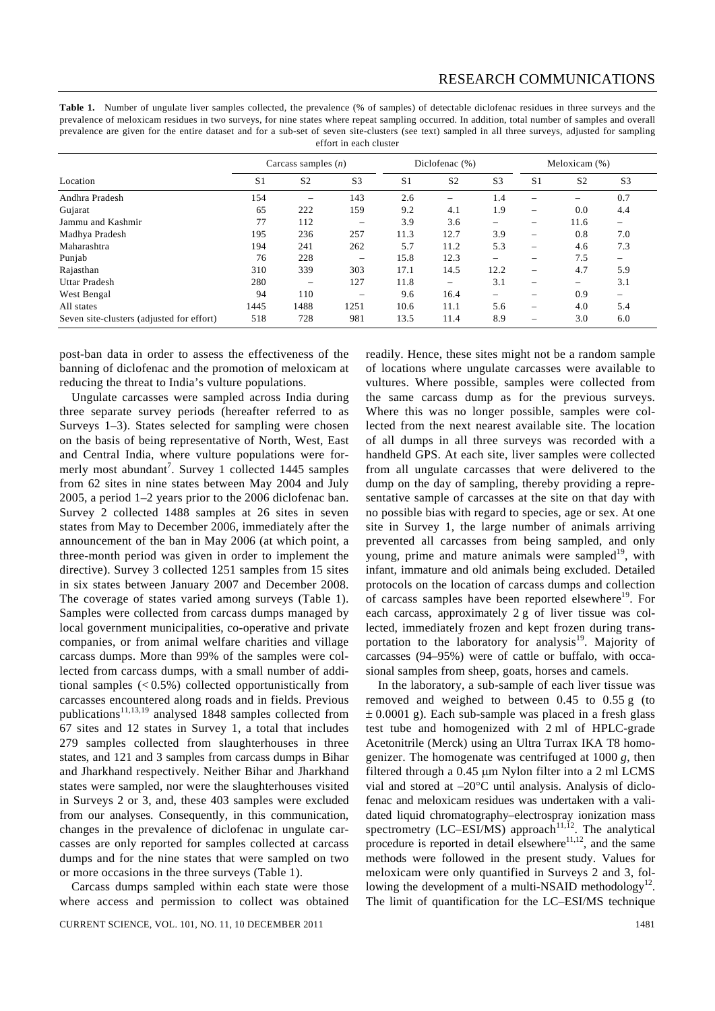Table 1. Number of ungulate liver samples collected, the prevalence (% of samples) of detectable diclofenac residues in three surveys and the prevalence of meloxicam residues in two surveys, for nine states where repeat sampling occurred. In addition, total number of samples and overall prevalence are given for the entire dataset and for a sub-set of seven site-clusters (see text) sampled in all three surveys, adjusted for sampling effort in each cluster

|                                           | Carcass samples $(n)$ |                          |                | Diclofenac (%) |                |                | Meloxicam (%)            |                          |                          |
|-------------------------------------------|-----------------------|--------------------------|----------------|----------------|----------------|----------------|--------------------------|--------------------------|--------------------------|
| Location                                  | S <sub>1</sub>        | S <sub>2</sub>           | S <sub>3</sub> | S <sub>1</sub> | S <sub>2</sub> | S <sub>3</sub> | S <sub>1</sub>           | S <sub>2</sub>           | S <sub>3</sub>           |
| Andhra Pradesh                            | 154                   | $\overline{\phantom{m}}$ | 143            | 2.6            |                | 1.4            | $\overline{\phantom{0}}$ |                          | 0.7                      |
| Gujarat                                   | 65                    | 222                      | 159            | 9.2            | 4.1            | 1.9            | $\overline{\phantom{m}}$ | 0.0                      | 4.4                      |
| Jammu and Kashmir                         | 77                    | 112                      |                | 3.9            | 3.6            |                | $\overline{\phantom{m}}$ | 11.6                     | $\overline{\phantom{m}}$ |
| Madhya Pradesh                            | 195                   | 236                      | 257            | 11.3           | 12.7           | 3.9            |                          | 0.8                      | 7.0                      |
| Maharashtra                               | 194                   | 241                      | 262            | 5.7            | 11.2           | 5.3            | $\overline{\phantom{m}}$ | 4.6                      | 7.3                      |
| Punjab                                    | 76                    | 228                      |                | 15.8           | 12.3           |                |                          | 7.5                      | $\qquad \qquad$          |
| Rajasthan                                 | 310                   | 339                      | 303            | 17.1           | 14.5           | 12.2           | $\overline{\phantom{0}}$ | 4.7                      | 5.9                      |
| <b>Uttar Pradesh</b>                      | 280                   | $\overline{\phantom{m}}$ | 127            | 11.8           |                | 3.1            |                          | $\overline{\phantom{0}}$ | 3.1                      |
| West Bengal                               | 94                    | 110                      |                | 9.6            | 16.4           |                |                          | 0.9                      | $\qquad \qquad -$        |
| All states                                | 1445                  | 1488                     | 1251           | 10.6           | 11.1           | 5.6            |                          | 4.0                      | 5.4                      |
| Seven site-clusters (adjusted for effort) | 518                   | 728                      | 981            | 13.5           | 11.4           | 8.9            |                          | 3.0                      | 6.0                      |

post-ban data in order to assess the effectiveness of the banning of diclofenac and the promotion of meloxicam at reducing the threat to India's vulture populations.

 Ungulate carcasses were sampled across India during three separate survey periods (hereafter referred to as Surveys 1–3). States selected for sampling were chosen on the basis of being representative of North, West, East and Central India, where vulture populations were formerly most abundant<sup>7</sup>. Survey 1 collected 1445 samples from 62 sites in nine states between May 2004 and July 2005, a period 1–2 years prior to the 2006 diclofenac ban. Survey 2 collected 1488 samples at 26 sites in seven states from May to December 2006, immediately after the announcement of the ban in May 2006 (at which point, a three-month period was given in order to implement the directive). Survey 3 collected 1251 samples from 15 sites in six states between January 2007 and December 2008. The coverage of states varied among surveys (Table 1). Samples were collected from carcass dumps managed by local government municipalities, co-operative and private companies, or from animal welfare charities and village carcass dumps. More than 99% of the samples were collected from carcass dumps, with a small number of additional samples (< 0.5%) collected opportunistically from carcasses encountered along roads and in fields. Previous publications<sup>11,13,19</sup> analysed 1848 samples collected from 67 sites and 12 states in Survey 1, a total that includes 279 samples collected from slaughterhouses in three states, and 121 and 3 samples from carcass dumps in Bihar and Jharkhand respectively. Neither Bihar and Jharkhand states were sampled, nor were the slaughterhouses visited in Surveys 2 or 3, and, these 403 samples were excluded from our analyses. Consequently, in this communication, changes in the prevalence of diclofenac in ungulate carcasses are only reported for samples collected at carcass dumps and for the nine states that were sampled on two or more occasions in the three surveys (Table 1).

 Carcass dumps sampled within each state were those where access and permission to collect was obtained readily. Hence, these sites might not be a random sample of locations where ungulate carcasses were available to vultures. Where possible, samples were collected from the same carcass dump as for the previous surveys. Where this was no longer possible, samples were collected from the next nearest available site. The location of all dumps in all three surveys was recorded with a handheld GPS. At each site, liver samples were collected from all ungulate carcasses that were delivered to the dump on the day of sampling, thereby providing a representative sample of carcasses at the site on that day with no possible bias with regard to species, age or sex. At one site in Survey 1, the large number of animals arriving prevented all carcasses from being sampled, and only young, prime and mature animals were sampled<sup>19</sup>, with infant, immature and old animals being excluded. Detailed protocols on the location of carcass dumps and collection of carcass samples have been reported elsewhere<sup>19</sup>. For each carcass, approximately 2 g of liver tissue was collected, immediately frozen and kept frozen during transportation to the laboratory for analysis<sup>19</sup>. Majority of carcasses (94–95%) were of cattle or buffalo, with occasional samples from sheep, goats, horses and camels.

 In the laboratory, a sub-sample of each liver tissue was removed and weighed to between 0.45 to 0.55 g (to  $\pm$  0.0001 g). Each sub-sample was placed in a fresh glass test tube and homogenized with 2 ml of HPLC-grade Acetonitrile (Merck) using an Ultra Turrax IKA T8 homogenizer. The homogenate was centrifuged at 1000 *g*, then filtered through a 0.45 μm Nylon filter into a 2 ml LCMS vial and stored at –20°C until analysis. Analysis of diclofenac and meloxicam residues was undertaken with a validated liquid chromatography–electrospray ionization mass spectrometry (LC–ESI/MS) approach<sup>11,12</sup>. The analytical procedure is reported in detail elsewhere $11,12$ , and the same methods were followed in the present study. Values for meloxicam were only quantified in Surveys 2 and 3, following the development of a multi-NSAID methodology<sup>12</sup>. The limit of quantification for the LC–ESI/MS technique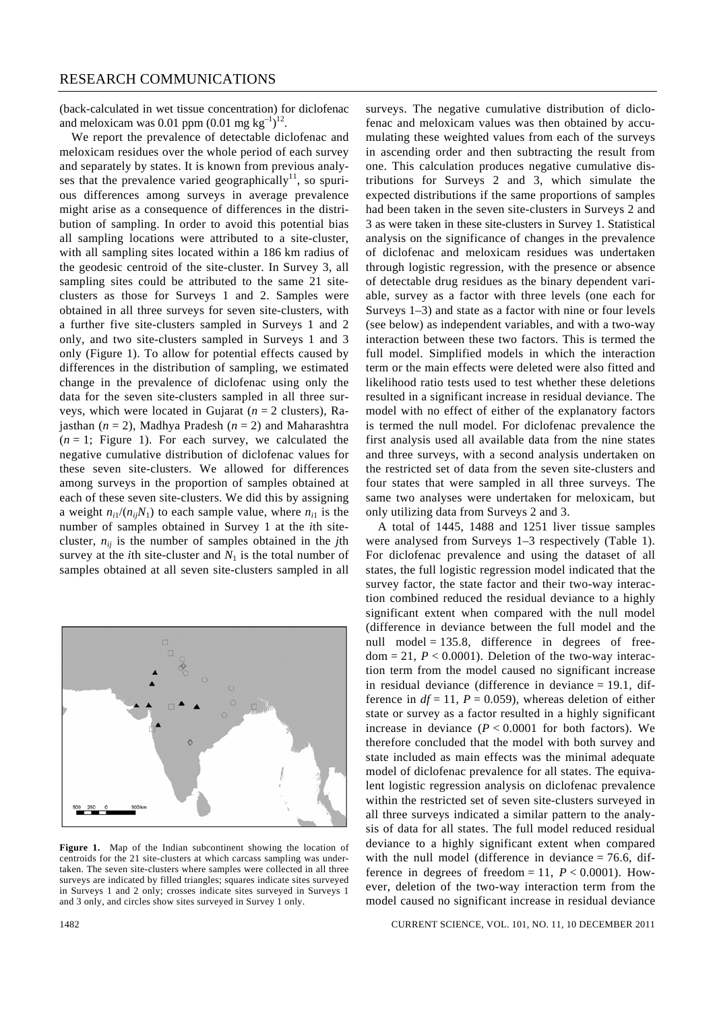(back-calculated in wet tissue concentration) for diclofenac and meloxicam was 0.01 ppm  $(0.01 \text{ mg kg}^{-1})^{12}$ .

 We report the prevalence of detectable diclofenac and meloxicam residues over the whole period of each survey and separately by states. It is known from previous analyses that the prevalence varied geographically<sup>11</sup>, so spurious differences among surveys in average prevalence might arise as a consequence of differences in the distribution of sampling. In order to avoid this potential bias all sampling locations were attributed to a site-cluster, with all sampling sites located within a 186 km radius of the geodesic centroid of the site-cluster. In Survey 3, all sampling sites could be attributed to the same 21 siteclusters as those for Surveys 1 and 2. Samples were obtained in all three surveys for seven site-clusters, with a further five site-clusters sampled in Surveys 1 and 2 only, and two site-clusters sampled in Surveys 1 and 3 only (Figure 1). To allow for potential effects caused by differences in the distribution of sampling, we estimated change in the prevalence of diclofenac using only the data for the seven site-clusters sampled in all three surveys, which were located in Gujarat (*n* = 2 clusters), Rajasthan (*n* = 2), Madhya Pradesh (*n* = 2) and Maharashtra  $(n = 1;$  Figure 1). For each survey, we calculated the negative cumulative distribution of diclofenac values for these seven site-clusters. We allowed for differences among surveys in the proportion of samples obtained at each of these seven site-clusters. We did this by assigning a weight  $n_{i1}/(n_{ii}N_1)$  to each sample value, where  $n_{i1}$  is the number of samples obtained in Survey 1 at the *i*th sitecluster,  $n_{ij}$  is the number of samples obtained in the *j*th survey at the *i*th site-cluster and  $N_1$  is the total number of samples obtained at all seven site-clusters sampled in all



**Figure 1.** Map of the Indian subcontinent showing the location of centroids for the 21 site-clusters at which carcass sampling was undertaken. The seven site-clusters where samples were collected in all three surveys are indicated by filled triangles; squares indicate sites surveyed in Surveys 1 and 2 only; crosses indicate sites surveyed in Surveys 1 and 3 only, and circles show sites surveyed in Survey 1 only.

surveys. The negative cumulative distribution of diclofenac and meloxicam values was then obtained by accumulating these weighted values from each of the surveys in ascending order and then subtracting the result from one. This calculation produces negative cumulative distributions for Surveys 2 and 3, which simulate the expected distributions if the same proportions of samples had been taken in the seven site-clusters in Surveys 2 and 3 as were taken in these site-clusters in Survey 1. Statistical analysis on the significance of changes in the prevalence of diclofenac and meloxicam residues was undertaken through logistic regression, with the presence or absence of detectable drug residues as the binary dependent variable, survey as a factor with three levels (one each for Surveys 1–3) and state as a factor with nine or four levels (see below) as independent variables, and with a two-way interaction between these two factors. This is termed the full model. Simplified models in which the interaction term or the main effects were deleted were also fitted and likelihood ratio tests used to test whether these deletions resulted in a significant increase in residual deviance. The model with no effect of either of the explanatory factors is termed the null model. For diclofenac prevalence the first analysis used all available data from the nine states and three surveys, with a second analysis undertaken on the restricted set of data from the seven site-clusters and four states that were sampled in all three surveys. The same two analyses were undertaken for meloxicam, but only utilizing data from Surveys 2 and 3.

 A total of 1445, 1488 and 1251 liver tissue samples were analysed from Surveys 1–3 respectively (Table 1). For diclofenac prevalence and using the dataset of all states, the full logistic regression model indicated that the survey factor, the state factor and their two-way interaction combined reduced the residual deviance to a highly significant extent when compared with the null model (difference in deviance between the full model and the null model =  $135.8$ , difference in degrees of free $dom = 21$ ,  $P < 0.0001$ ). Deletion of the two-way interaction term from the model caused no significant increase in residual deviance (difference in deviance = 19.1, difference in  $df = 11$ ,  $P = 0.059$ ), whereas deletion of either state or survey as a factor resulted in a highly significant increase in deviance  $(P < 0.0001$  for both factors). We therefore concluded that the model with both survey and state included as main effects was the minimal adequate model of diclofenac prevalence for all states. The equivalent logistic regression analysis on diclofenac prevalence within the restricted set of seven site-clusters surveyed in all three surveys indicated a similar pattern to the analysis of data for all states. The full model reduced residual deviance to a highly significant extent when compared with the null model (difference in deviance  $= 76.6$ , difference in degrees of freedom = 11,  $P < 0.0001$ ). However, deletion of the two-way interaction term from the model caused no significant increase in residual deviance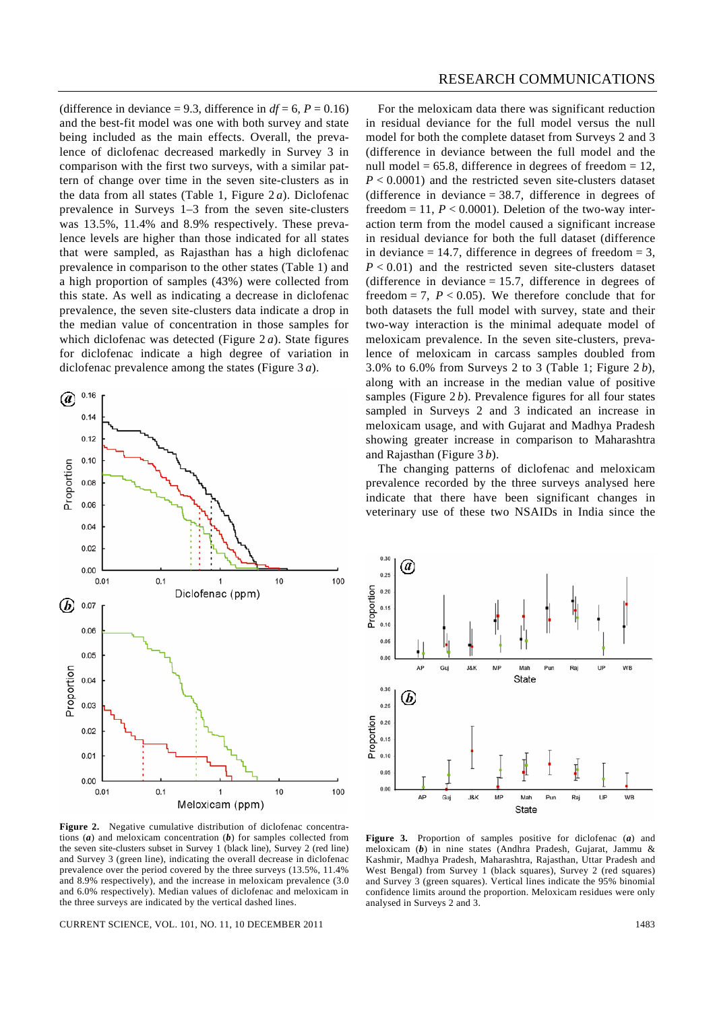(difference in deviance = 9.3, difference in  $df = 6$ ,  $P = 0.16$ ) and the best-fit model was one with both survey and state being included as the main effects. Overall, the prevalence of diclofenac decreased markedly in Survey 3 in comparison with the first two surveys, with a similar pattern of change over time in the seven site-clusters as in the data from all states (Table 1, Figure 2 *a*). Diclofenac prevalence in Surveys 1–3 from the seven site-clusters was 13.5%, 11.4% and 8.9% respectively. These prevalence levels are higher than those indicated for all states that were sampled, as Rajasthan has a high diclofenac prevalence in comparison to the other states (Table 1) and a high proportion of samples (43%) were collected from this state. As well as indicating a decrease in diclofenac prevalence, the seven site-clusters data indicate a drop in the median value of concentration in those samples for which diclofenac was detected (Figure 2 *a*). State figures for diclofenac indicate a high degree of variation in diclofenac prevalence among the states (Figure 3 *a*).



Figure 2. Negative cumulative distribution of diclofenac concentrations (*a*) and meloxicam concentration (*b*) for samples collected from the seven site-clusters subset in Survey 1 (black line), Survey 2 (red line) and Survey 3 (green line), indicating the overall decrease in diclofenac prevalence over the period covered by the three surveys (13.5%, 11.4% and 8.9% respectively), and the increase in meloxicam prevalence (3.0 and 6.0% respectively). Median values of diclofenac and meloxicam in the three surveys are indicated by the vertical dashed lines.

CURRENT SCIENCE, VOL. 101, NO. 11, 10 DECEMBER 2011 1483

 For the meloxicam data there was significant reduction in residual deviance for the full model versus the null model for both the complete dataset from Surveys 2 and 3 (difference in deviance between the full model and the null model =  $65.8$ , difference in degrees of freedom =  $12$ ,  $P < 0.0001$ ) and the restricted seven site-clusters dataset (difference in deviance  $= 38.7$ , difference in degrees of freedom  $= 11$ ,  $P < 0.0001$ ). Deletion of the two-way interaction term from the model caused a significant increase in residual deviance for both the full dataset (difference in deviance  $= 14.7$ , difference in degrees of freedom  $= 3$ ,  $P < 0.01$ ) and the restricted seven site-clusters dataset (difference in deviance  $= 15.7$ , difference in degrees of freedom  $= 7$ ,  $P < 0.05$ ). We therefore conclude that for both datasets the full model with survey, state and their two-way interaction is the minimal adequate model of meloxicam prevalence. In the seven site-clusters, prevalence of meloxicam in carcass samples doubled from 3.0% to 6.0% from Surveys 2 to 3 (Table 1; Figure 2 *b*), along with an increase in the median value of positive samples (Figure 2*b*). Prevalence figures for all four states sampled in Surveys 2 and 3 indicated an increase in meloxicam usage, and with Gujarat and Madhya Pradesh showing greater increase in comparison to Maharashtra and Rajasthan (Figure 3 *b*).

 The changing patterns of diclofenac and meloxicam prevalence recorded by the three surveys analysed here indicate that there have been significant changes in veterinary use of these two NSAIDs in India since the



**Figure 3.** Proportion of samples positive for diclofenac (*a*) and meloxicam (*b*) in nine states (Andhra Pradesh, Gujarat, Jammu & Kashmir, Madhya Pradesh, Maharashtra, Rajasthan, Uttar Pradesh and West Bengal) from Survey 1 (black squares), Survey 2 (red squares) and Survey 3 (green squares). Vertical lines indicate the 95% binomial confidence limits around the proportion. Meloxicam residues were only analysed in Surveys 2 and 3.